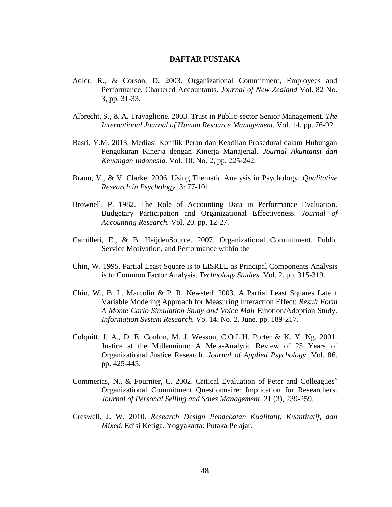## **DAFTAR PUSTAKA**

- Adler, R., & Corson, D. 2003. Organizational Commitment, Employees and Performance*.* Chartered Accountants. *Journal of New Zealand* Vol. 82 No. 3, pp. 31-33.
- Albrecht, S., & A. Travaglione. 2003. Trust in Public-sector Senior Management. *The International Journal of Human Resource Management.* Vol. 14. pp. 76-92.
- Basri, Y.M. 2013. Mediasi Konflik Peran dan Keadilan Prosedural dalam Hubungan Pengukuran Kinerja dengan Kinerja Manajerial. *Journal Akuntansi dan Keuangan Indonesia.* Vol. 10. No. 2, pp. 225-242.
- Braun, V., & V. Clarke. 2006. Using Thematic Analysis in Psychology. *Qualitative Research in Psychology.* 3: 77-101.
- Brownell, P. 1982. The Role of Accounting Data in Performance Evaluation. Budgetary Participation and Organizational Effectiveness. *Journal of Accounting Research.* Vol. 20. pp. 12-27.
- Camilleri, E., & B. HeijdenSource. 2007. Organizational Commitment, Public Service Motivation, and Performance within the
- Chin, W. 1995. Partial Least Square is to LISREL as Principal Components Analysis is to Common Factor Analysis. *Technology Studies.* Vol. 2. pp. 315-319.
- Chin, W., B. L. Marcolin & P. R. Newsted. 2003. A Partial Least Squares Latent Variable Modeling Approach for Measuring Interaction Effect: *Result Form A Monte Carlo Simulation Study and Voice Mail* Emotion/Adoption Study. *Information System Research.* Vo. 14. No. 2. June. pp. 189-217.
- Colquitt, J. A., D. E. Conlon, M. J. Wesson, C.O.L.H. Porter & K. Y. Ng. 2001. Justice at the Millennium: A Meta-Analytic Review of 25 Years of Organizational Justice Research. *Journal of Applied Psychology.* Vol. 86. pp. 425-445.
- Commerias, N., & Fournier, C. 2002. Critical Evaluation of Peter and Colleagues` Organizational Commitment Questionnaire: Implication for Researchers. *Journal of Personal Selling and Sales Management.* 21 (3), 239-259.
- Creswell, J. W. 2010. *Research Design Pendekatan Kualitatif, Kuantitatif, dan Mixed.* Edisi Ketiga. Yogyakarta: Putaka Pelajar.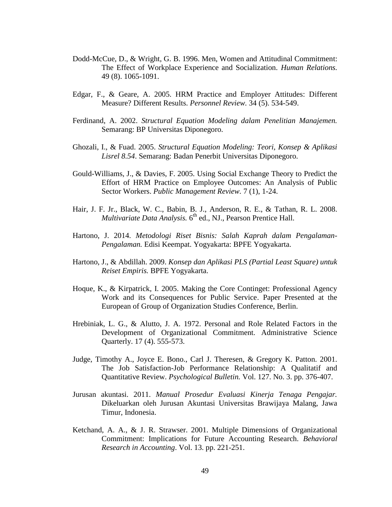- Dodd-McCue, D., & Wright, G. B. 1996. Men, Women and Attitudinal Commitment: The Effect of Workplace Experience and Socialization. *Human Relations.*  49 (8). 1065-1091.
- Edgar, F., & Geare, A. 2005. HRM Practice and Employer Attitudes: Different Measure? Different Results. *Personnel Review.* 34 (5). 534-549.
- Ferdinand, A. 2002. *Structural Equation Modeling dalam Penelitian Manajemen.* Semarang: BP Universitas Diponegoro.
- Ghozali, I., & Fuad. 2005. *Structural Equation Modeling: Teori, Konsep & Aplikasi Lisrel 8.54*. Semarang: Badan Penerbit Universitas Diponegoro.
- Gould-Williams, J., & Davies, F. 2005. Using Social Exchange Theory to Predict the Effort of HRM Practice on Employee Outcomes: An Analysis of Public Sector Workers. *Public Management Review.* 7 (1), 1-24.
- Hair, J. F. Jr., Black, W. C., Babin, B. J., Anderson, R. E., & Tathan, R. L. 2008. *Multivariate Data Analysis.* 6<sup>th</sup> ed., NJ., Pearson Prentice Hall.
- Hartono, J. 2014. *Metodologi Riset Bisnis: Salah Kaprah dalam Pengalaman-Pengalaman.* Edisi Keempat. Yogyakarta: BPFE Yogyakarta.
- Hartono, J., & Abdillah. 2009. *Konsep dan Aplikasi PLS (Partial Least Square) untuk Reiset Empiris.* BPFE Yogyakarta.
- Hoque, K., & Kirpatrick, I. 2005. Making the Core Continget: Professional Agency Work and its Consequences for Public Service. Paper Presented at the European of Group of Organization Studies Conference, Berlin.
- Hrebiniak, L. G., & Alutto, J. A. 1972. Personal and Role Related Factors in the Development of Organizational Commitment. Administrative Science Quarterly. 17 (4). 555-573.
- Judge, Timothy A., Joyce E. Bono., Carl J. Theresen, & Gregory K. Patton. 2001. The Job Satisfaction-Job Performance Relationship: A Qualitatif and Quantitative Review. *Psychological Bulletin.* Vol. 127. No. 3. pp. 376-407.
- Jurusan akuntasi. 2011. *Manual Prosedur Evaluasi Kinerja Tenaga Pengajar.*  Dikeluarkan oleh Jurusan Akuntasi Universitas Brawijaya Malang, Jawa Timur, Indonesia.
- Ketchand, A. A., & J. R. Strawser. 2001. Multiple Dimensions of Organizational Commitment: Implications for Future Accounting Research*. Behavioral Research in Accounting*. Vol. 13. pp. 221-251.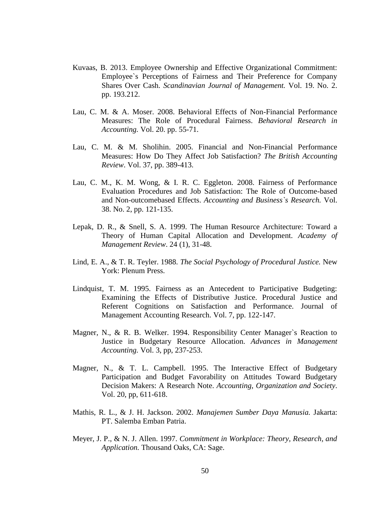- Kuvaas, B. 2013. Employee Ownership and Effective Organizational Commitment: Employee`s Perceptions of Fairness and Their Preference for Company Shares Over Cash. *Scandinavian Journal of Management.* Vol. 19. No. 2. pp. 193.212.
- Lau, C. M. & A. Moser. 2008. Behavioral Effects of Non-Financial Performance Measures: The Role of Procedural Fairness. *Behavioral Research in Accounting.* Vol. 20. pp. 55-71.
- Lau, C. M. & M. Sholihin. 2005. Financial and Non-Financial Performance Measures: How Do They Affect Job Satisfaction? *The British Accounting Review*. Vol. 37, pp. 389-413.
- Lau, C. M., K. M. Wong, & I. R. C. Eggleton. 2008. Fairness of Performance Evaluation Procedures and Job Satisfaction: The Role of Outcome-based and Non-outcomebased Effects. *Accounting and Business`s Research.* Vol. 38. No. 2, pp. 121-135.
- Lepak, D. R., & Snell, S. A. 1999. The Human Resource Architecture: Toward a Theory of Human Capital Allocation and Development. *Academy of Management Review*. 24 (1), 31-48.
- Lind, E. A., & T. R. Teyler. 1988. *The Social Psychology of Procedural Justice.* New York: Plenum Press.
- Lindquist, T. M. 1995. Fairness as an Antecedent to Participative Budgeting: Examining the Effects of Distributive Justice. Procedural Justice and Referent Cognitions on Satisfaction and Performance. Journal of Management Accounting Research. Vol. 7, pp. 122-147.
- Magner, N., & R. B. Welker. 1994. Responsibility Center Manager`s Reaction to Justice in Budgetary Resource Allocation. *Advances in Management Accounting.* Vol. 3, pp, 237-253.
- Magner, N., & T. L. Campbell. 1995. The Interactive Effect of Budgetary Participation and Budget Favorability on Attitudes Toward Budgetary Decision Makers: A Research Note. *Accounting, Organization and Society*. Vol. 20, pp, 611-618.
- Mathis, R. L., & J. H. Jackson. 2002. *Manajemen Sumber Daya Manusia.* Jakarta: PT. Salemba Emban Patria.
- Meyer, J. P., & N. J. Allen. 1997. *Commitment in Workplace: Theory, Research, and Application.* Thousand Oaks, CA: Sage.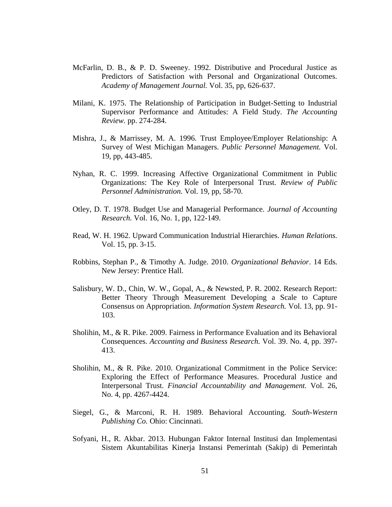- McFarlin, D. B., & P. D. Sweeney. 1992. Distributive and Procedural Justice as Predictors of Satisfaction with Personal and Organizational Outcomes. *Academy of Management Journal.* Vol. 35, pp, 626-637.
- Milani, K. 1975. The Relationship of Participation in Budget-Setting to Industrial Supervisor Performance and Attitudes: A Field Study. *The Accounting Review.* pp. 274-284.
- Mishra, J., & Marrissey, M. A. 1996. Trust Employee/Employer Relationship: A Survey of West Michigan Managers. *Public Personnel Management.* Vol. 19, pp, 443-485.
- Nyhan, R. C. 1999. Increasing Affective Organizational Commitment in Public Organizations: The Key Role of Interpersonal Trust. *Review of Public Personnel Administration.* Vol. 19, pp, 58-70.
- Otley, D. T. 1978. Budget Use and Managerial Performance. *Journal of Accounting Research.* Vol. 16, No. 1, pp, 122-149.
- Read, W. H. 1962. Upward Communication Industrial Hierarchies. *Human Relations.*  Vol. 15, pp. 3-15.
- Robbins, Stephan P., & Timothy A. Judge. 2010. *Organizational Behavior*. 14 Eds. New Jersey: Prentice Hall.
- Salisbury, W. D., Chin, W. W., Gopal, A., & Newsted, P. R. 2002. Research Report: Better Theory Through Measurement Developing a Scale to Capture Consensus on Appropriation. *Information System Research.* Vol. 13, pp. 91- 103.
- Sholihin, M., & R. Pike. 2009. Fairness in Performance Evaluation and its Behavioral Consequences. *Accounting and Business Research.* Vol. 39. No. 4, pp. 397- 413.
- Sholihin, M., & R. Pike. 2010. Organizational Commitment in the Police Service: Exploring the Effect of Performance Measures. Procedural Justice and Interpersonal Trust. *Financial Accountability and Management.* Vol. 26, No. 4, pp. 4267-4424.
- Siegel, G., & Marconi, R. H. 1989. Behavioral Accounting. *South-Western Publishing Co.* Ohio: Cincinnati.
- Sofyani, H., R. Akbar. 2013. Hubungan Faktor Internal Institusi dan Implementasi Sistem Akuntabilitas Kinerja Instansi Pemerintah (Sakip) di Pemerintah